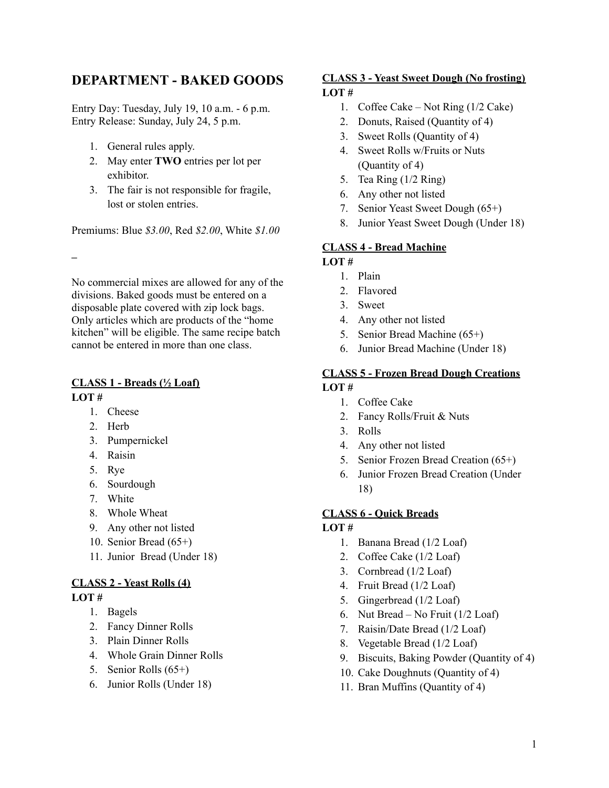# **DEPARTMENT - BAKED GOODS**

Entry Day: Tuesday, July 19, 10 a.m. - 6 p.m. Entry Release: Sunday, July 24, 5 p.m.

- 1. General rules apply.
- 2. May enter **TWO** entries per lot per exhibitor.
- 3. The fair is not responsible for fragile, lost or stolen entries.

Premiums: Blue *\$3.00*, Red *\$2.00*, White *\$1.00*

**–**

No commercial mixes are allowed for any of the divisions. Baked goods must be entered on a disposable plate covered with zip lock bags. Only articles which are products of the "home kitchen" will be eligible. The same recipe batch cannot be entered in more than one class.

### **CLASS 1 - Breads (½ Loaf) LOT #**

- 1. Cheese
- 2. Herb
- 3. Pumpernickel
- 4. Raisin
- 5. Rye
- 6. Sourdough
- 7. White
- 8. Whole Wheat
- 9. Any other not listed
- 10. Senior Bread (65+)
- 11. Junior Bread (Under 18)

# **CLASS 2 - Yeast Rolls (4)**

#### **LOT #**

- 1. Bagels
- 2. Fancy Dinner Rolls
- 3. Plain Dinner Rolls
- 4. Whole Grain Dinner Rolls
- 5. Senior Rolls (65+)
- 6. Junior Rolls (Under 18)

#### **CLASS 3 - Yeast Sweet Dough (No frosting) LOT #**

- 1. Coffee Cake Not Ring (1/2 Cake)
- 2. Donuts, Raised (Quantity of 4)
- 3. Sweet Rolls (Quantity of 4)
- 4. Sweet Rolls w/Fruits or Nuts (Quantity of 4)
- 5. Tea Ring (1/2 Ring)
- 6. Any other not listed
- 7. Senior Yeast Sweet Dough (65+)
- 8. Junior Yeast Sweet Dough (Under 18)

## **CLASS 4 - Bread Machine**

# **LOT #**

- 1. Plain
- 2. Flavored
- 3. Sweet
- 4. Any other not listed
- 5. Senior Bread Machine (65+)
- 6. Junior Bread Machine (Under 18)

#### **CLASS 5 - Frozen Bread Dough Creations LOT #**

- 1. Coffee Cake
- 2. Fancy Rolls/Fruit & Nuts
- 3. Rolls
- 4. Any other not listed
- 5. Senior Frozen Bread Creation (65+)
- 6. Junior Frozen Bread Creation (Under 18)

#### **CLASS 6 - Quick Breads**

## **LOT #**

- 1. Banana Bread (1/2 Loaf)
- 2. Coffee Cake (1/2 Loaf)
- 3. Cornbread (1/2 Loaf)
- 4. Fruit Bread (1/2 Loaf)
- 5. Gingerbread (1/2 Loaf)
- 6. Nut Bread No Fruit (1/2 Loaf)
- 7. Raisin/Date Bread (1/2 Loaf)
- 8. Vegetable Bread (1/2 Loaf)
- 9. Biscuits, Baking Powder (Quantity of 4)
- 10. Cake Doughnuts (Quantity of 4)
- 11. Bran Muffins (Quantity of 4)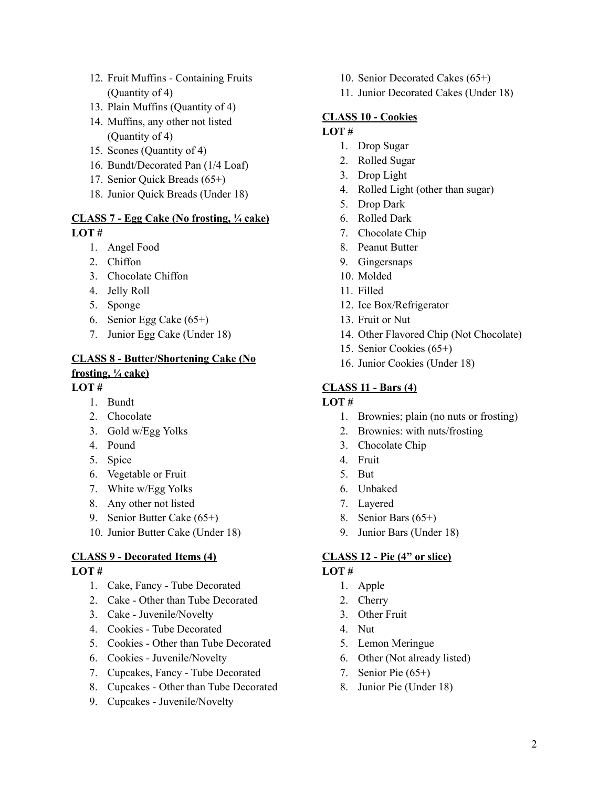- 12. Fruit Muffins Containing Fruits (Quantity of 4)
- 13. Plain Muffins (Quantity of 4)
- 14. Muffins, any other not listed (Quantity of 4)
- 15. Scones (Quantity of 4)
- 16. Bundt/Decorated Pan (1/4 Loaf)
- 17. Senior Quick Breads (65+)
- 18. Junior Quick Breads (Under 18)

#### **CLASS 7 - Egg Cake (No frosting, ¼ cake) LOT #**

- 1. Angel Food
- 2. Chiffon
- 3. Chocolate Chiffon
- 4. Jelly Roll
- 5. Sponge
- 6. Senior Egg Cake (65+)
- 7. Junior Egg Cake (Under 18)

# **CLASS 8 - Butter/Shortening Cake (No frosting, ¼ cake)**

#### **LOT #**

- 1. Bundt
- 2. Chocolate
- 3. Gold w/Egg Yolks
- 4. Pound
- 5. Spice
- 6. Vegetable or Fruit
- 7. White w/Egg Yolks
- 8. Any other not listed
- 9. Senior Butter Cake (65+)
- 10. Junior Butter Cake (Under 18)

## **CLASS 9 - Decorated Items (4)**

#### **LOT #**

- 1. Cake, Fancy Tube Decorated
- 2. Cake Other than Tube Decorated
- 3. Cake Juvenile/Novelty
- 4. Cookies Tube Decorated
- 5. Cookies Other than Tube Decorated
- 6. Cookies Juvenile/Novelty
- 7. Cupcakes, Fancy Tube Decorated
- 8. Cupcakes Other than Tube Decorated
- 9. Cupcakes Juvenile/Novelty
- 10. Senior Decorated Cakes (65+)
- 11. Junior Decorated Cakes (Under 18)

## **CLASS 10 - Cookies**

# **LOT #**

- 1. Drop Sugar
- 2. Rolled Sugar
- 3. Drop Light
- 4. Rolled Light (other than sugar)
- 5. Drop Dark
- 6. Rolled Dark
- 7. Chocolate Chip
- 8. Peanut Butter
- 9. Gingersnaps
- 10. Molded
- 11. Filled
- 12. Ice Box/Refrigerator
- 13. Fruit or Nut
- 14. Other Flavored Chip (Not Chocolate)
- 15. Senior Cookies (65+)
- 16. Junior Cookies (Under 18)

#### **CLASS 11 - Bars (4)**

#### **LOT #**

- 1. Brownies; plain (no nuts or frosting)
- 2. Brownies: with nuts/frosting
- 3. Chocolate Chip
- 4. Fruit
- 5. But
- 6. Unbaked
- 7. Layered
- 8. Senior Bars (65+)
- 9. Junior Bars (Under 18)

## **CLASS 12 - Pie (4" or slice)**

#### **LOT #**

- 1. Apple
- 2. Cherry
- 3. Other Fruit
- 4. Nut
- 5. Lemon Meringue
- 6. Other (Not already listed)
- 7. Senior Pie (65+)
- 8. Junior Pie (Under 18)